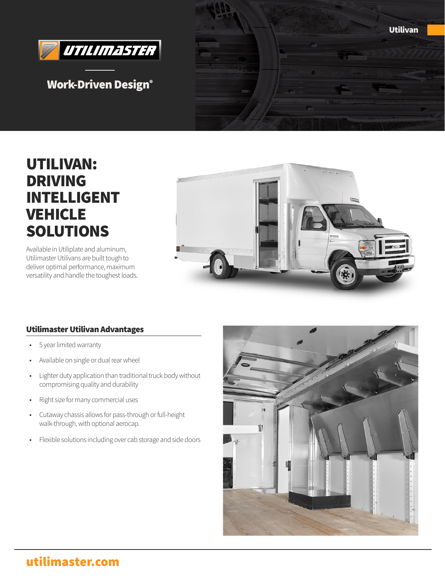

## **Work-Driven Design®**



# UTILIVAN: DRIVING INTELLIGENT VEHICLE SOLUTIONS

Available in Utiliplate and aluminum, Utilimaster Utilivans are built tough to deliver optimal performance, maximum versatility and handle the toughest loads.



#### Utilimaster Utilivan Advantages

- 5 year limited warranty
- Available on single or dual rear wheel
- Lighter duty application than traditional truck body without compromising quality and durability
- Right size for many commercial uses
- Cutaway chassis allows for pass-through or full-height walk-through, with optional aerocap.
- Flexible solutions including over cab storage and side doors



## utilimaster.com